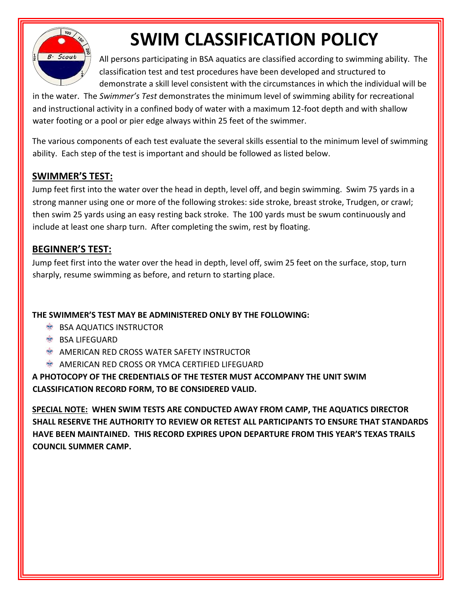

# **SWIM CLASSIFICATION POLICY**

All persons participating in BSA aquatics are classified according to swimming ability. The classification test and test procedures have been developed and structured to demonstrate a skill level consistent with the circumstances in which the individual will be

in the water. The *Swimmer's Test* demonstrates the minimum level of swimming ability for recreational and instructional activity in a confined body of water with a maximum 12-foot depth and with shallow water footing or a pool or pier edge always within 25 feet of the swimmer.

The various components of each test evaluate the several skills essential to the minimum level of swimming ability. Each step of the test is important and should be followed as listed below.

## **SWIMMER'S TEST:**

Jump feet first into the water over the head in depth, level off, and begin swimming. Swim 75 yards in a strong manner using one or more of the following strokes: side stroke, breast stroke, Trudgen, or crawl; then swim 25 yards using an easy resting back stroke. The 100 yards must be swum continuously and include at least one sharp turn. After completing the swim, rest by floating.

## **BEGINNER'S TEST:**

Jump feet first into the water over the head in depth, level off, swim 25 feet on the surface, stop, turn sharply, resume swimming as before, and return to starting place.

#### **THE SWIMMER'S TEST MAY BE ADMINISTERED ONLY BY THE FOLLOWING:**

- **BSA AQUATICS INSTRUCTOR**
- **SEX BSA LIFEGUARD**
- **AMERICAN RED CROSS WATER SAFETY INSTRUCTOR**
- **AMERICAN RED CROSS OR YMCA CERTIFIED LIFEGUARD**

#### **A PHOTOCOPY OF THE CREDENTIALS OF THE TESTER MUST ACCOMPANY THE UNIT SWIM CLASSIFICATION RECORD FORM, TO BE CONSIDERED VALID.**

**SPECIAL NOTE: WHEN SWIM TESTS ARE CONDUCTED AWAY FROM CAMP, THE AQUATICS DIRECTOR SHALL RESERVE THE AUTHORITY TO REVIEW OR RETEST ALL PARTICIPANTS TO ENSURE THAT STANDARDS HAVE BEEN MAINTAINED. THIS RECORD EXPIRES UPON DEPARTURE FROM THIS YEAR'S TEXAS TRAILS COUNCIL SUMMER CAMP.**